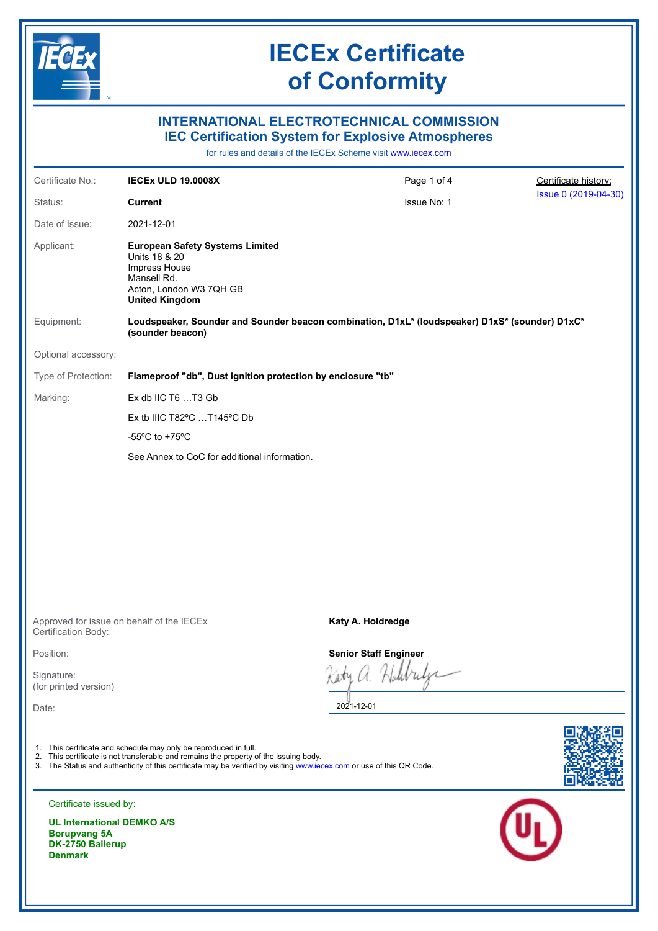

### **INTERNATIONAL ELECTROTECHNICAL COMMISSION IEC Certification System for Explosive Atmospheres**

for rules and details of the IECEx Scheme visit [www.iecex.com](https://www.iecex.com)

| Certificate No.:    | <b>IECEX ULD 19.0008X</b>                                                                                                                   | Page 1 of 4 | Certificate history: |
|---------------------|---------------------------------------------------------------------------------------------------------------------------------------------|-------------|----------------------|
| Status:             | <b>Current</b>                                                                                                                              | Issue No: 1 | Issue 0 (2019-04-30) |
| Date of Issue:      | 2021-12-01                                                                                                                                  |             |                      |
| Applicant:          | <b>European Safety Systems Limited</b><br>Units 18 & 20<br>Impress House<br>Mansell Rd.<br>Acton, London W3 7QH GB<br><b>United Kingdom</b> |             |                      |
| Equipment:          | Loudspeaker, Sounder and Sounder beacon combination, D1xL* (loudspeaker) D1xS* (sounder) D1xC*<br>(sounder beacon)                          |             |                      |
| Optional accessory: |                                                                                                                                             |             |                      |
| Type of Protection: | Flameproof "db", Dust ignition protection by enclosure "tb"                                                                                 |             |                      |
| Marking:            | Ex db IIC T6 T3 Gb                                                                                                                          |             |                      |
|                     | Ex tb IIIC T82 $\degree$ C T145 $\degree$ C Db                                                                                              |             |                      |
|                     | -55 $\mathrm{^{\circ}C}$ to +75 $\mathrm{^{\circ}C}$                                                                                        |             |                      |
|                     | See Annex to CoC for additional information.                                                                                                |             |                      |
|                     |                                                                                                                                             |             |                      |
|                     |                                                                                                                                             |             |                      |

Approved for issue on behalf of the IECEx Certification Body:

Position:

Signature: (for printed version)

Date:

- 1. This certificate and schedule may only be reproduced in full.
- 2. This certificate is not transferable and remains the property of the issuing body.
- 3. The Status and authenticity of this certificate may be verified by visiting [www.iecex.com](https://www.iecex.com) or use of this QR Code.





**UL International DEMKO A/S Borupvang 5A DK-2750 Ballerup Denmark**

**Katy A. Holdredge**

**Senior Staff Engineer**

Iл

2021-12-01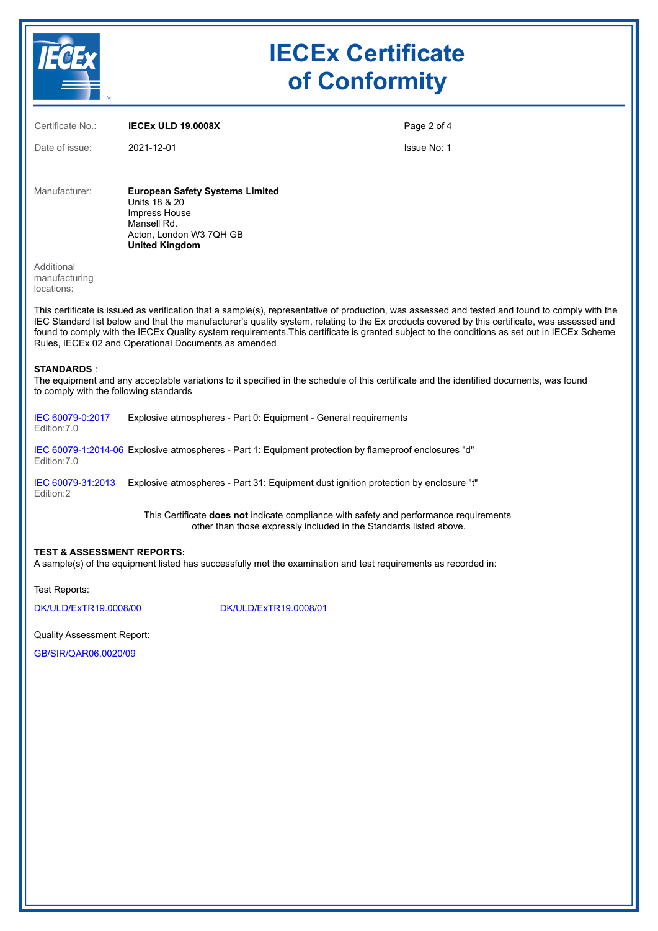

| Certificate No.:                                            | <b>IECEX ULD 19.0008X</b>                                                                                                                                           | Page 2 of 4                                                                                                                                                                                                                                                                                                                                                                                                                                      |
|-------------------------------------------------------------|---------------------------------------------------------------------------------------------------------------------------------------------------------------------|--------------------------------------------------------------------------------------------------------------------------------------------------------------------------------------------------------------------------------------------------------------------------------------------------------------------------------------------------------------------------------------------------------------------------------------------------|
| Date of issue:                                              | 2021-12-01                                                                                                                                                          | <b>Issue No: 1</b>                                                                                                                                                                                                                                                                                                                                                                                                                               |
| Manufacturer:                                               | <b>European Safety Systems Limited</b><br>Units 18 & 20<br>Impress House<br>Mansell Rd.<br>Acton, London W3 7QH GB<br><b>United Kingdom</b>                         |                                                                                                                                                                                                                                                                                                                                                                                                                                                  |
| Additional<br>manufacturing<br>locations:                   |                                                                                                                                                                     |                                                                                                                                                                                                                                                                                                                                                                                                                                                  |
|                                                             | Rules, IECEx 02 and Operational Documents as amended                                                                                                                | This certificate is issued as verification that a sample(s), representative of production, was assessed and tested and found to comply with the<br>IEC Standard list below and that the manufacturer's quality system, relating to the Ex products covered by this certificate, was assessed and<br>found to comply with the IECEx Quality system requirements. This certificate is granted subject to the conditions as set out in IECEx Scheme |
| <b>STANDARDS:</b><br>to comply with the following standards |                                                                                                                                                                     | The equipment and any acceptable variations to it specified in the schedule of this certificate and the identified documents, was found                                                                                                                                                                                                                                                                                                          |
| IEC 60079-0:2017<br>Edition: 7.0                            | Explosive atmospheres - Part 0: Equipment - General requirements                                                                                                    |                                                                                                                                                                                                                                                                                                                                                                                                                                                  |
| Edition: 7.0                                                | IEC 60079-1:2014-06 Explosive atmospheres - Part 1: Equipment protection by flameproof enclosures "d"                                                               |                                                                                                                                                                                                                                                                                                                                                                                                                                                  |
| IEC 60079-31:2013<br>Edition:2                              | Explosive atmospheres - Part 31: Equipment dust ignition protection by enclosure "t"                                                                                |                                                                                                                                                                                                                                                                                                                                                                                                                                                  |
|                                                             | This Certificate <b>does not</b> indicate compliance with safety and performance requirements<br>other than those expressly included in the Standards listed above. |                                                                                                                                                                                                                                                                                                                                                                                                                                                  |
| <b>TEST &amp; ASSESSMENT REPORTS:</b>                       | A sample(s) of the equipment listed has successfully met the examination and test requirements as recorded in:                                                      |                                                                                                                                                                                                                                                                                                                                                                                                                                                  |
| Test Reports:                                               |                                                                                                                                                                     |                                                                                                                                                                                                                                                                                                                                                                                                                                                  |
| DK/ULD/ExTR19.0008/00                                       | DK/ULD/ExTR19.0008/01                                                                                                                                               |                                                                                                                                                                                                                                                                                                                                                                                                                                                  |

Quality Assessment Report:

[GB/SIR/QAR06.0020/09](https://www.iecex-certs.com/#/deliverables/REPORT/70577/view)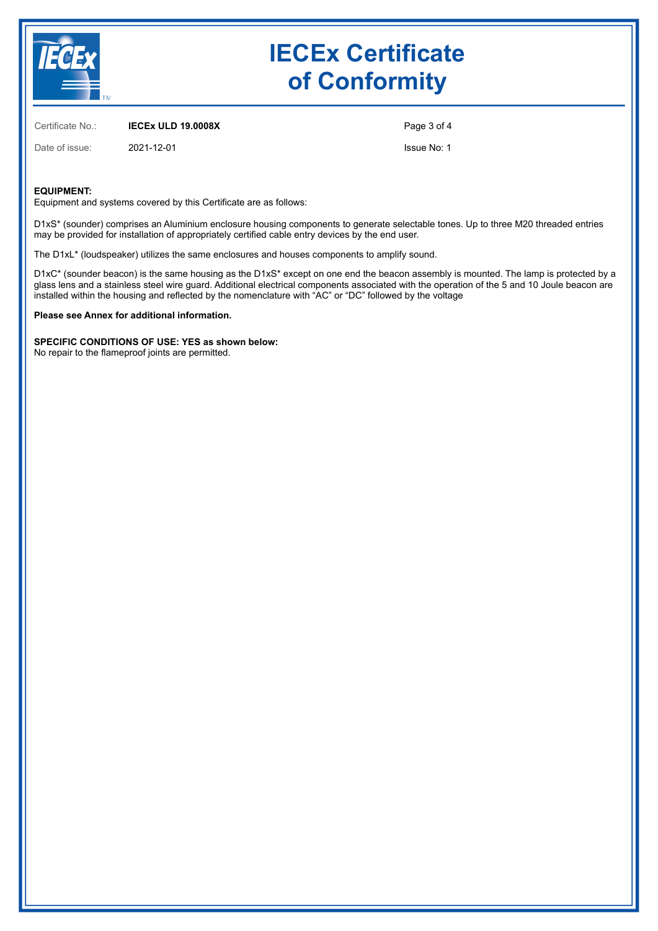

Certificate No.: **IECEx ULD 19.0008X**

Date of issue: 2021-12-01

Page 3 of 4 Issue No: 1

#### **EQUIPMENT:**

Equipment and systems covered by this Certificate are as follows:

D1xS\* (sounder) comprises an Aluminium enclosure housing components to generate selectable tones. Up to three M20 threaded entries may be provided for installation of appropriately certified cable entry devices by the end user.

The D1xL\* (loudspeaker) utilizes the same enclosures and houses components to amplify sound.

D1xC\* (sounder beacon) is the same housing as the D1xS\* except on one end the beacon assembly is mounted. The lamp is protected by a glass lens and a stainless steel wire guard. Additional electrical components associated with the operation of the 5 and 10 Joule beacon are installed within the housing and reflected by the nomenclature with "AC" or "DC" followed by the voltage

**Please see Annex for additional information.**

**SPECIFIC CONDITIONS OF USE: YES as shown below:** No repair to the flameproof joints are permitted.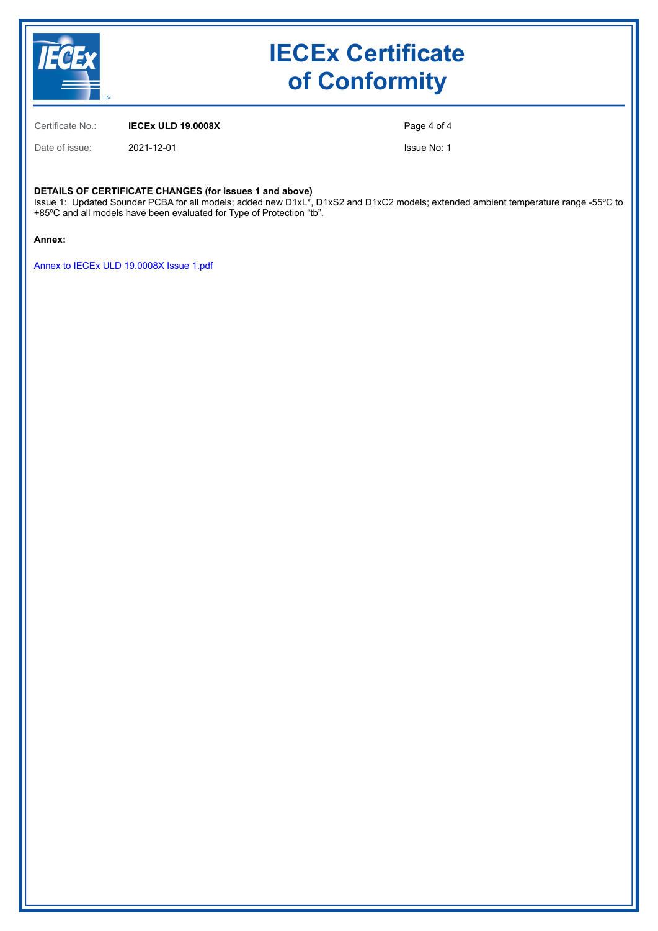

Certificate No.: **IECEx ULD 19.0008X**

Date of issue: 2021-12-01

Page 4 of 4

Issue No: 1

#### **DETAILS OF CERTIFICATE CHANGES (for issues 1 and above)**

Issue 1: Updated Sounder PCBA for all models; added new D1xL\*, D1xS2 and D1xC2 models; extended ambient temperature range -55ºC to +85ºC and all models have been evaluated for Type of Protection "tb".

**Annex:**

[Annex to IECEx ULD 19.0008X Issue 1.pdf](https://www.iecex-certs.com/#/deliverables/CERT/53124/view)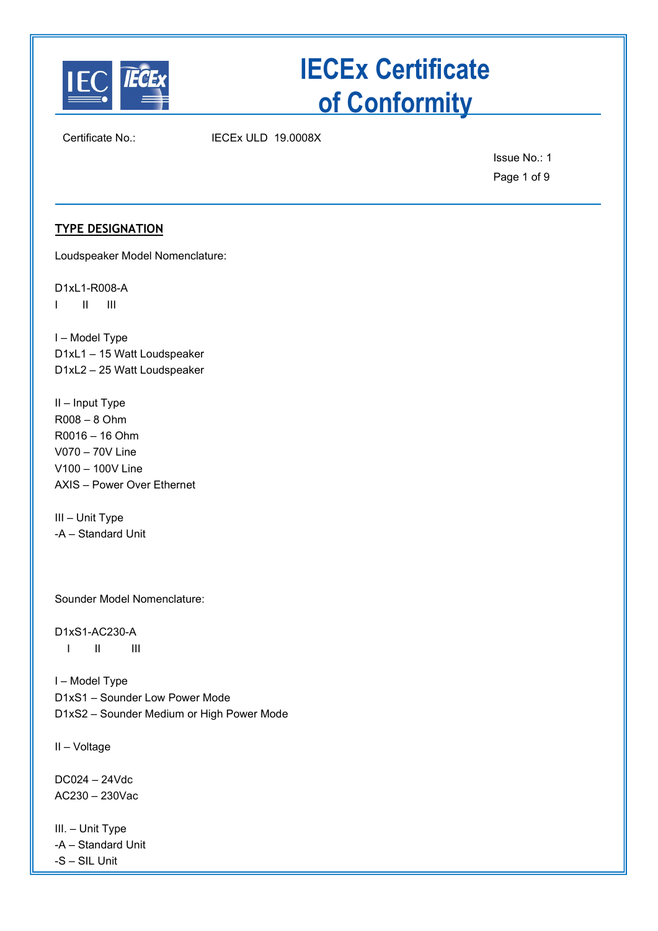

Certificate No.: IECEx ULD 19.0008X

Issue No.: 1 Page 1 of 9

### **TYPE DESIGNATION**

Loudspeaker Model Nomenclature:

D1xL1-R008-A I II III

I – Model Type D1xL1 – 15 Watt Loudspeaker D1xL2 – 25 Watt Loudspeaker

II – Input Type R008 – 8 Ohm R0016 – 16 Ohm V070 – 70V Line V100 – 100V Line AXIS – Power Over Ethernet

III – Unit Type -A – Standard Unit

Sounder Model Nomenclature:

D1xS1-AC230-A I II III

I – Model Type D1xS1 – Sounder Low Power Mode D1xS2 – Sounder Medium or High Power Mode

II – Voltage

DC024 – 24Vdc AC230 – 230Vac

III. – Unit Type -A – Standard Unit -S – SIL Unit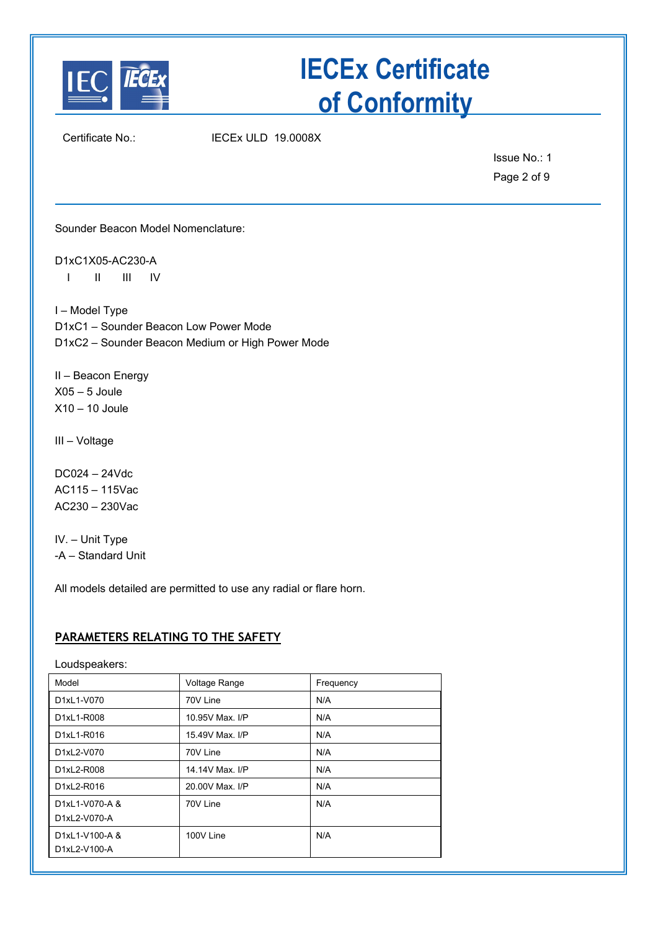

Certificate No.: IECEx ULD 19.0008X

Issue No.: 1 Page 2 of 9

Sounder Beacon Model Nomenclature:

D1xC1X05-AC230-A I II III IV

I – Model Type D1xC1 – Sounder Beacon Low Power Mode D1xC2 – Sounder Beacon Medium or High Power Mode

II – Beacon Energy  $X05 - 5$  Joule X10 – 10 Joule

III – Voltage

DC024 – 24Vdc AC115 – 115Vac AC230 – 230Vac

IV. – Unit Type -A – Standard Unit

All models detailed are permitted to use any radial or flare horn.

### **PARAMETERS RELATING TO THE SAFETY**

Loudspeakers:

| Model                                                    | Voltage Range   | Frequency |
|----------------------------------------------------------|-----------------|-----------|
| D1xL1-V070                                               | 70V Line        | N/A       |
| D1xL1-R008                                               | 10.95V Max. I/P | N/A       |
| D1xL1-R016                                               | 15.49V Max, I/P | N/A       |
| D1xL2-V070                                               | 70V Line        | N/A       |
| D1xL2-R008                                               | 14.14V Max, I/P | N/A       |
| D1xL2-R016                                               | 20,00V Max, I/P | N/A       |
| D1xL1-V070-A &<br>D1xL2-V070-A                           | 70V Line        | N/A       |
| D <sub>1xL1</sub> -V <sub>100</sub> -A &<br>D1xL2-V100-A | 100V Line       | N/A       |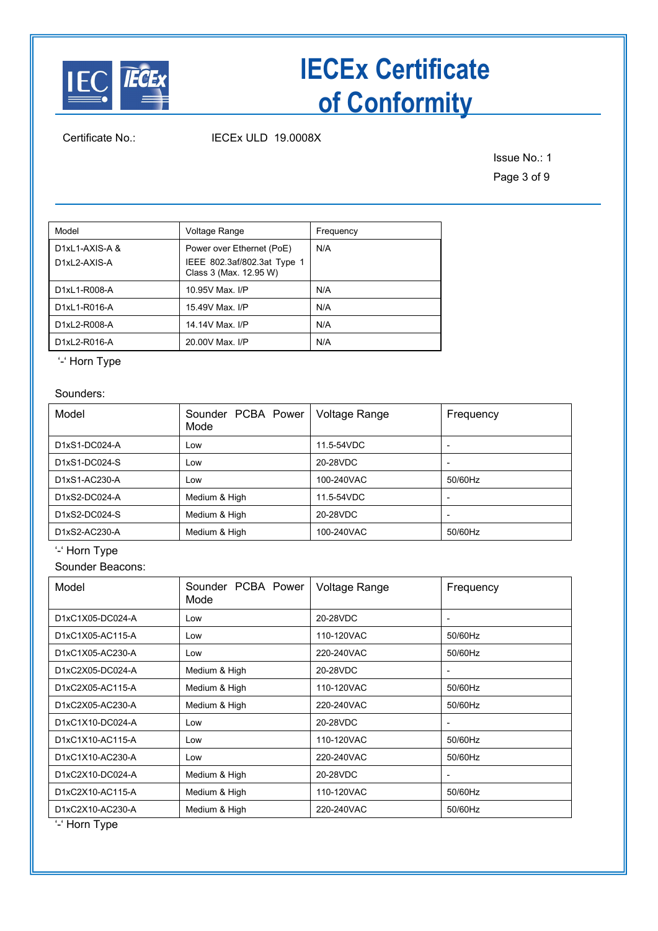

Certificate No.: IECEx ULD 19.0008X

Issue No.: 1 Page 3 of 9

| Model                                  | Voltage Range                                                                      | Frequency |
|----------------------------------------|------------------------------------------------------------------------------------|-----------|
| $D1xL1-AXIS-A &$<br>$D1xI 2-AXIS-A$    | Power over Ethernet (PoE)<br>IEEE 802.3af/802.3at Type 1<br>Class 3 (Max. 12.95 W) | N/A       |
| D1xL1-R008-A                           | 10.95V Max. I/P                                                                    | N/A       |
| D <sub>1xL1</sub> -R <sub>016</sub> -A | 15.49V Max, I/P                                                                    | N/A       |
| D1xL2-R008-A                           | 14.14V Max, I/P                                                                    | N/A       |
| D1xL2-R016-A                           | 20.00V Max. I/P                                                                    | N/A       |

'-' Horn Type

### Sounders:

| Model         | Sounder PCBA Power<br>Mode | Voltage Range | Frequency                |
|---------------|----------------------------|---------------|--------------------------|
| D1xS1-DC024-A | Low                        | 11.5-54VDC    |                          |
| D1xS1-DC024-S | Low                        | 20-28VDC      |                          |
| D1xS1-AC230-A | Low                        | 100-240VAC    | 50/60Hz                  |
| D1xS2-DC024-A | Medium & High              | 11.5-54VDC    | $\overline{\phantom{0}}$ |
| D1xS2-DC024-S | Medium & High              | 20-28VDC      |                          |
| D1xS2-AC230-A | Medium & High              | 100-240VAC    | 50/60Hz                  |

'-' Horn Type

Sounder Beacons:

| Model            | Sounder PCBA Power<br>Mode | Voltage Range | Frequency |
|------------------|----------------------------|---------------|-----------|
| D1xC1X05-DC024-A | Low                        | 20-28VDC      |           |
| D1xC1X05-AC115-A | Low                        | 110-120VAC    | 50/60Hz   |
| D1xC1X05-AC230-A | Low                        | 220-240VAC    | 50/60Hz   |
| D1xC2X05-DC024-A | Medium & High              | 20-28VDC      |           |
| D1xC2X05-AC115-A | Medium & High              | 110-120VAC    | 50/60Hz   |
| D1xC2X05-AC230-A | Medium & High              | 220-240VAC    | 50/60Hz   |
| D1xC1X10-DC024-A | Low                        | 20-28VDC      |           |
| D1xC1X10-AC115-A | Low                        | 110-120VAC    | 50/60Hz   |
| D1xC1X10-AC230-A | Low                        | 220-240VAC    | 50/60Hz   |
| D1xC2X10-DC024-A | Medium & High              | 20-28VDC      |           |
| D1xC2X10-AC115-A | Medium & High              | 110-120VAC    | 50/60Hz   |
| D1xC2X10-AC230-A | Medium & High              | 220-240VAC    | 50/60Hz   |

'-' Horn Type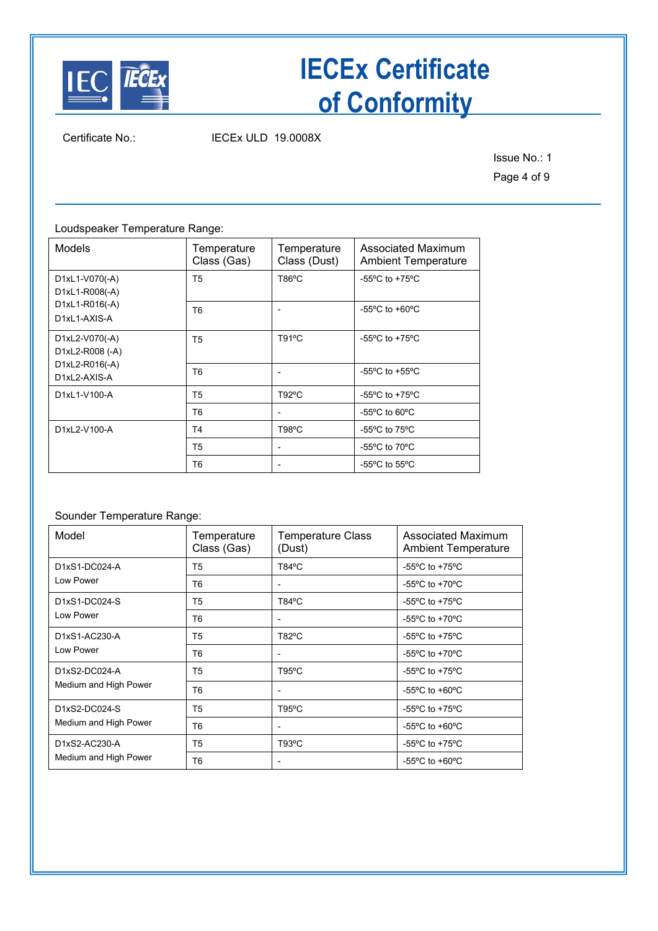

Certificate No.: IECEx ULD 19.0008X

Issue No.: 1 Page 4 of 9

Loudspeaker Temperature Range:

| <b>Models</b>                     | Temperature<br>Class (Gas) | Temperature<br>Class (Dust) | Associated Maximum<br><b>Ambient Temperature</b>     |
|-----------------------------------|----------------------------|-----------------------------|------------------------------------------------------|
| D1xL1-V070(-A)<br>D1xL1-R008(-A)  | T5                         | T86°C                       | -55 $\mathrm{^{\circ}C}$ to +75 $\mathrm{^{\circ}C}$ |
| D1xL1-R016(-A)<br>D1xL1-AXIS-A    | T <sub>6</sub>             |                             | -55 $\mathrm{^{\circ}C}$ to +60 $\mathrm{^{\circ}C}$ |
| D1xL2-V070(-A)<br>D1xL2-R008 (-A) | T <sub>5</sub>             | T91°C                       | -55 $\mathrm{^{\circ}C}$ to +75 $\mathrm{^{\circ}C}$ |
| D1xL2-R016(-A)<br>D1xL2-AXIS-A    | T <sub>6</sub>             |                             | -55 $\mathrm{^{\circ}C}$ to +55 $\mathrm{^{\circ}C}$ |
| D1xL1-V100-A                      | T <sub>5</sub>             | $T92^{\circ}C$              | -55 $\mathrm{^{\circ}C}$ to +75 $\mathrm{^{\circ}C}$ |
|                                   | T <sub>6</sub>             |                             | -55 $\mathrm{^{\circ}C}$ to 60 $\mathrm{^{\circ}C}$  |
| D1xL2-V100-A                      | T <sub>4</sub>             | T98°C                       | -55°C to 75°C                                        |
|                                   | T <sub>5</sub>             |                             | -55 $\mathrm{^{\circ}C}$ to 70 $\mathrm{^{\circ}C}$  |
|                                   | T <sub>6</sub>             |                             | -55 $\mathrm{^{\circ}C}$ to 55 $\mathrm{^{\circ}C}$  |

### Sounder Temperature Range:

| Model                 | Temperature<br>Class (Gas) | <b>Temperature Class</b><br>(Dust) | Associated Maximum<br><b>Ambient Temperature</b>     |
|-----------------------|----------------------------|------------------------------------|------------------------------------------------------|
| D1xS1-DC024-A         | T5                         | T84°C                              | -55 $\mathrm{^{\circ}C}$ to +75 $\mathrm{^{\circ}C}$ |
| Low Power             | T <sub>6</sub>             | $\overline{\phantom{a}}$           | -55 $\mathrm{^{\circ}C}$ to +70 $\mathrm{^{\circ}C}$ |
| D1xS1-DC024-S         | T <sub>5</sub>             | $T84^{\circ}$ C                    | -55 $\mathrm{^{\circ}C}$ to +75 $\mathrm{^{\circ}C}$ |
| Low Power             | T6                         | $\overline{\phantom{a}}$           | -55 $\mathrm{^{\circ}C}$ to +70 $\mathrm{^{\circ}C}$ |
| D1xS1-AC230-A         | T5                         | $T82^{\circ}C$                     | -55 $\mathrm{^{\circ}C}$ to +75 $\mathrm{^{\circ}C}$ |
| Low Power             | T <sub>6</sub>             | $\overline{\phantom{a}}$           | -55 $\mathrm{^{\circ}C}$ to +70 $\mathrm{^{\circ}C}$ |
| D1xS2-DC024-A         | T5                         | $T95^{\circ}C$                     | -55 $\mathrm{^{\circ}C}$ to +75 $\mathrm{^{\circ}C}$ |
| Medium and High Power | T <sub>6</sub>             | $\overline{\phantom{a}}$           | -55 $\mathrm{^{\circ}C}$ to +60 $\mathrm{^{\circ}C}$ |
| D1xS2-DC024-S         | T5                         | $T95^{\circ}C$                     | -55 $\mathrm{^{\circ}C}$ to +75 $\mathrm{^{\circ}C}$ |
| Medium and High Power | T <sub>6</sub>             | $\overline{\phantom{a}}$           | -55 $\mathrm{^{\circ}C}$ to +60 $\mathrm{^{\circ}C}$ |
| D1xS2-AC230-A         | T <sub>5</sub>             | $T93^{\circ}C$                     | -55 $\mathrm{^{\circ}C}$ to +75 $\mathrm{^{\circ}C}$ |
| Medium and High Power | T <sub>6</sub>             |                                    | -55 $\mathrm{^{\circ}C}$ to +60 $\mathrm{^{\circ}C}$ |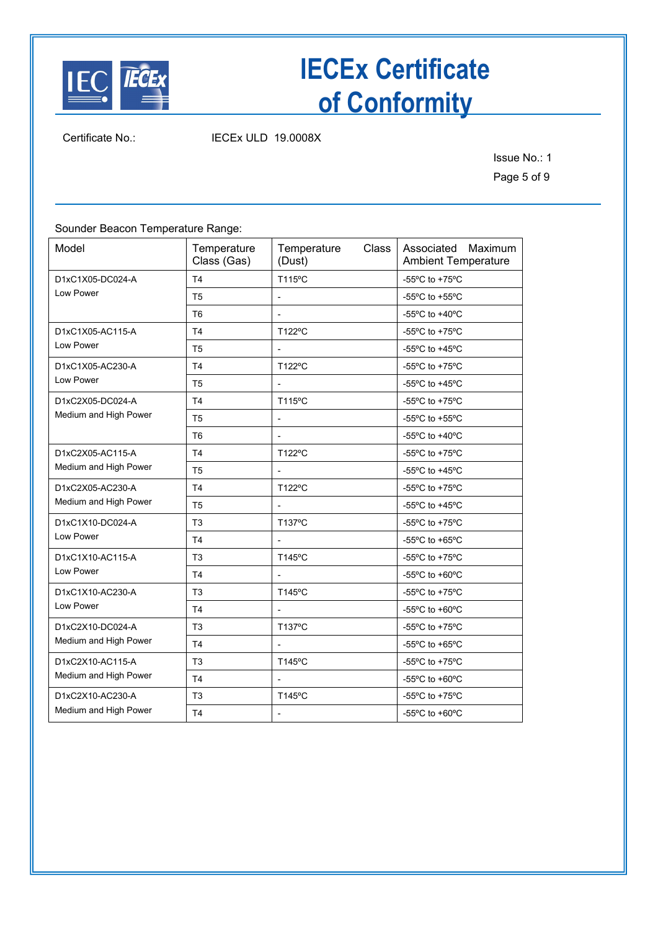

Certificate No.: IECEx ULD 19.0008X

Issue No.: 1 Page 5 of 9

Sounder Beacon Temperature Range:

| Model                 | Temperature<br>Class (Gas) | Temperature<br>Class<br>(Dust) | Associated Maximum<br><b>Ambient Temperature</b>     |
|-----------------------|----------------------------|--------------------------------|------------------------------------------------------|
| D1xC1X05-DC024-A      | T <sub>4</sub>             | T115°C                         | -55 $\mathrm{^{\circ}C}$ to +75 $\mathrm{^{\circ}C}$ |
| Low Power             | T <sub>5</sub>             |                                | -55°C to +55°C                                       |
|                       | T <sub>6</sub>             |                                | -55°C to +40°C                                       |
| D1xC1X05-AC115-A      | T <sub>4</sub>             | T122°C                         | -55°C to +75°C                                       |
| Low Power             | T <sub>5</sub>             |                                | -55°C to +45°C                                       |
| D1xC1X05-AC230-A      | T4                         | T122°C                         | -55 $\mathrm{^{\circ}C}$ to +75 $\mathrm{^{\circ}C}$ |
| Low Power             | T <sub>5</sub>             |                                | -55°C to +45°C                                       |
| D1xC2X05-DC024-A      | T <sub>4</sub>             | T115°C                         | -55 $\mathrm{^{\circ}C}$ to +75 $\mathrm{^{\circ}C}$ |
| Medium and High Power | T <sub>5</sub>             | $\overline{a}$                 | -55°C to +55°C                                       |
|                       | T <sub>6</sub>             |                                | -55 $\mathrm{^{\circ}C}$ to +40 $\mathrm{^{\circ}C}$ |
| D1xC2X05-AC115-A      | T <sub>4</sub>             | T122°C                         | -55°C to +75°C                                       |
| Medium and High Power | T <sub>5</sub>             |                                | -55°C to +45°C                                       |
| D1xC2X05-AC230-A      | T <sub>4</sub>             | T122°C                         | -55°C to +75°C                                       |
| Medium and High Power | T <sub>5</sub>             |                                | -55°C to +45°C                                       |
| D1xC1X10-DC024-A      | T <sub>3</sub>             | T137°C                         | -55 $\mathrm{^{\circ}C}$ to +75 $\mathrm{^{\circ}C}$ |
| Low Power             | T4                         |                                | -55°C to +65°C                                       |
| D1xC1X10-AC115-A      | T <sub>3</sub>             | T145°C                         | -55 $\mathrm{^{\circ}C}$ to +75 $\mathrm{^{\circ}C}$ |
| Low Power             | T <sub>4</sub>             |                                | -55°C to +60°C                                       |
| D1xC1X10-AC230-A      | T <sub>3</sub>             | T145°C                         | -55°C to +75°C                                       |
| Low Power             | T4                         |                                | -55 $\mathrm{^{\circ}C}$ to +60 $\mathrm{^{\circ}C}$ |
| D1xC2X10-DC024-A      | T <sub>3</sub>             | T137°C                         | -55 $\mathrm{^{\circ}C}$ to +75 $\mathrm{^{\circ}C}$ |
| Medium and High Power | T4                         |                                | -55°C to +65°C                                       |
| D1xC2X10-AC115-A      | T <sub>3</sub>             | T145°C                         | -55 $\mathrm{^{\circ}C}$ to +75 $\mathrm{^{\circ}C}$ |
| Medium and High Power | T <sub>4</sub>             |                                | -55 $\mathrm{^{\circ}C}$ to +60 $\mathrm{^{\circ}C}$ |
| D1xC2X10-AC230-A      | T <sub>3</sub>             | T145°C                         | -55°C to +75°C                                       |
| Medium and High Power | T <sub>4</sub>             | $\overline{\phantom{a}}$       | -55 $\mathrm{^{\circ}C}$ to +60 $\mathrm{^{\circ}C}$ |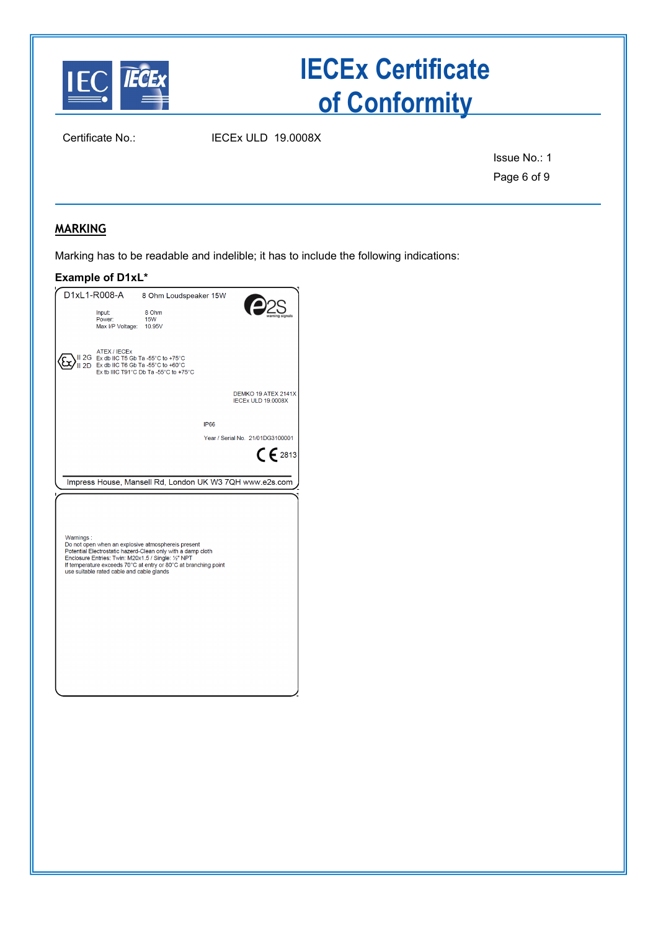

Certificate No.: IECEx ULD 19.0008X

Issue No.: 1 Page 6 of 9

### **MARKING**

Marking has to be readable and indelible; it has to include the following indications:

#### **Example of D1xL\***

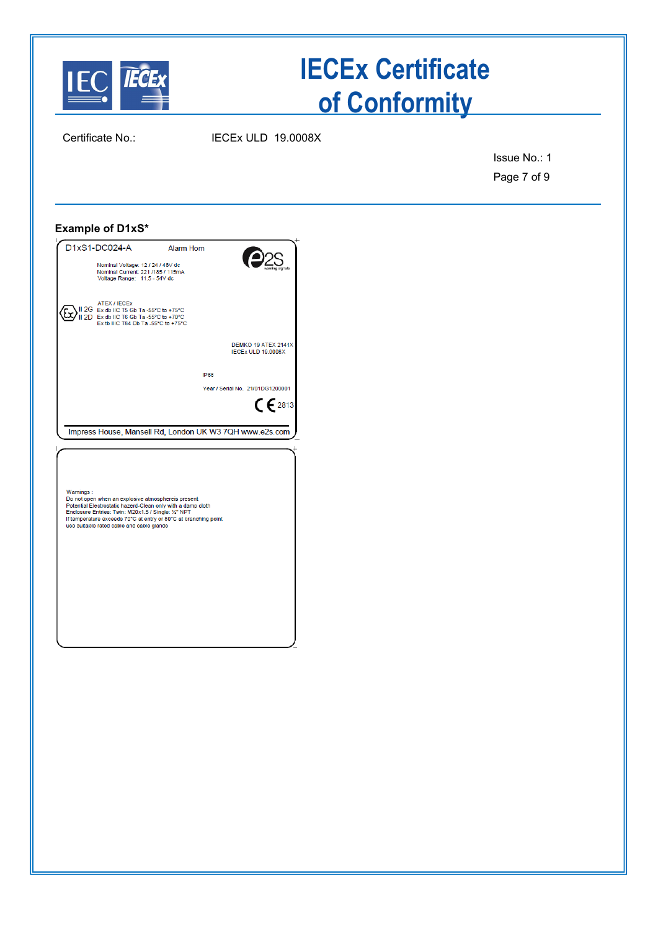

Certificate No.: IECEx ULD 19.0008X

Issue No.: 1 Page 7 of 9

#### **Example of D1xS\***

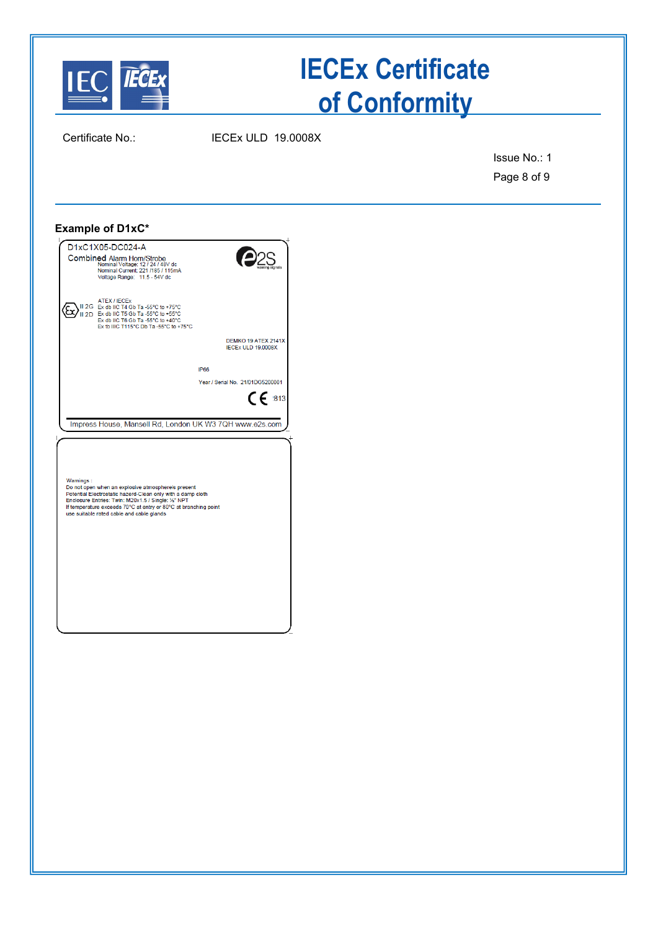

Certificate No.: IECEx ULD 19.0008X

Issue No.: 1 Page 8 of 9

#### **Example of D1xC\***